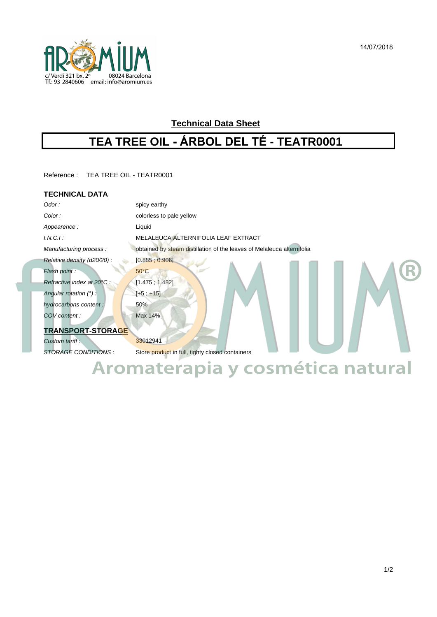

# **Technical Data Sheet**

# **TEA TREE OIL - ÁRBOL DEL TÉ - TEATR0001**

Reference : TEA TREE OIL - TEATR0001

## **TECHNICAL DATA**

| Odor:                      | spicy earthy                                                           |
|----------------------------|------------------------------------------------------------------------|
| Color:                     | colorless to pale yellow                                               |
| Appearence:                | Liquid                                                                 |
| I.N.C.I.                   | MELALEUCA ALTERNIFOLIA LEAF EXTRACT                                    |
| Manufacturing process:     | obtained by steam distillation of the leaves of Melaleuca alternifolia |
| Relative density (d20/20): | [0.885, 0.906]                                                         |
| Flash point:               | $50^{\circ}$ C                                                         |
| Refractive index at 20°C : | [1.475; 1.482]                                                         |
| Angular rotation $(°)$ :   | $[+5; +15]$                                                            |
| hydrocarbons content:      | 50%                                                                    |
| COV content :              | Max 14%                                                                |
| <b>TRANSPORT-STORAGE</b>   |                                                                        |
| Custom tariff:             | 33012941                                                               |
| CTODACE COMPITIONS.        | Ctore product in full tighty gloped containers                         |

STORAGE CONDITIONS : Store product in full, tighty closed containers **Aromaterapia y cosmética natural**